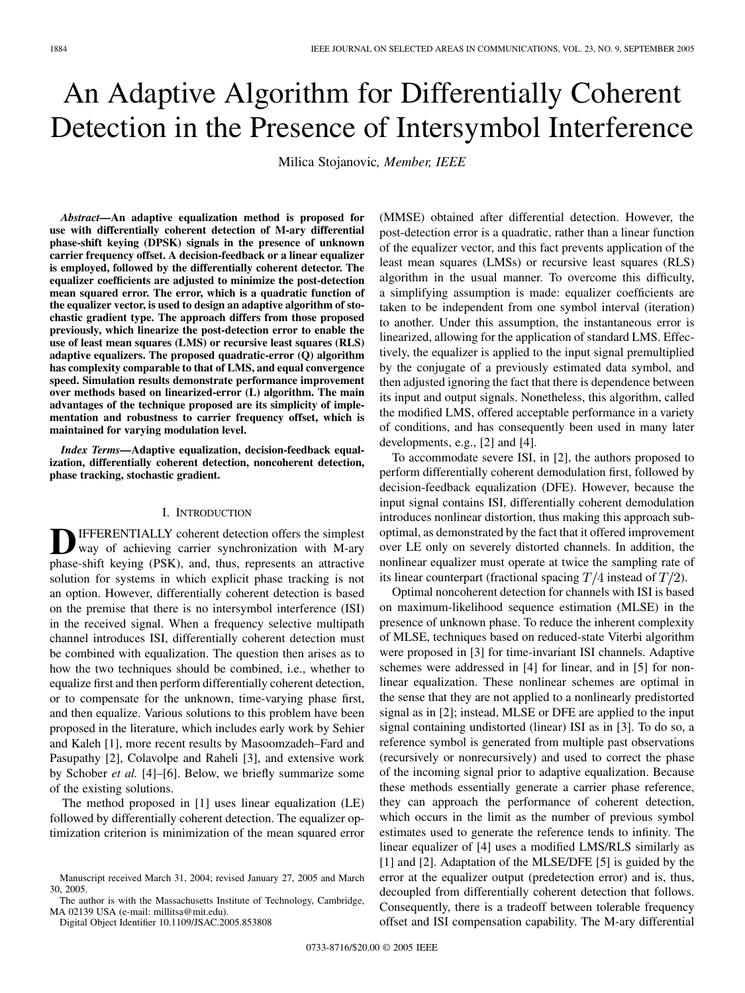# An Adaptive Algorithm for Differentially Coherent Detection in the Presence of Intersymbol Interference

Milica Stojanovic*, Member, IEEE*

*Abstract—***An adaptive equalization method is proposed for use with differentially coherent detection of M-ary differential phase-shift keying (DPSK) signals in the presence of unknown carrier frequency offset. A decision-feedback or a linear equalizer is employed, followed by the differentially coherent detector. The equalizer coefficients are adjusted to minimize the post-detection mean squared error. The error, which is a quadratic function of the equalizer vector, is used to design an adaptive algorithm of stochastic gradient type. The approach differs from those proposed previously, which linearize the post-detection error to enable the use of least mean squares (LMS) or recursive least squares (RLS) adaptive equalizers. The proposed quadratic-error (Q) algorithm has complexity comparable to that of LMS, and equal convergence speed. Simulation results demonstrate performance improvement over methods based on linearized-error (L) algorithm. The main advantages of the technique proposed are its simplicity of implementation and robustness to carrier frequency offset, which is maintained for varying modulation level.**

*Index Terms—***Adaptive equalization, decision-feedback equalization, differentially coherent detection, noncoherent detection, phase tracking, stochastic gradient.**

#### I. INTRODUCTION

IFFERENTIALLY coherent detection offers the simplest way of achieving carrier synchronization with M-ary phase-shift keying (PSK), and, thus, represents an attractive solution for systems in which explicit phase tracking is not an option. However, differentially coherent detection is based on the premise that there is no intersymbol interference (ISI) in the received signal. When a frequency selective multipath channel introduces ISI, differentially coherent detection must be combined with equalization. The question then arises as to how the two techniques should be combined, i.e., whether to equalize first and then perform differentially coherent detection, or to compensate for the unknown, time-varying phase first, and then equalize. Various solutions to this problem have been proposed in the literature, which includes early work by Sehier and Kaleh [[1\]](#page-6-0), more recent results by Masoomzadeh–Fard and Pasupathy [\[2](#page-6-0)], Colavolpe and Raheli [\[3](#page-6-0)], and extensive work by Schober *et al.* [\[4](#page-6-0)]–[\[6](#page-6-0)]. Below, we briefly summarize some of the existing solutions.

The method proposed in [[1\]](#page-6-0) uses linear equalization (LE) followed by differentially coherent detection. The equalizer optimization criterion is minimization of the mean squared error

The author is with the Massachusetts Institute of Technology, Cambridge, MA 02139 USA (e-mail: millitsa@mit.edu).

Digital Object Identifier 10.1109/JSAC.2005.853808

(MMSE) obtained after differential detection. However, the post-detection error is a quadratic, rather than a linear function of the equalizer vector, and this fact prevents application of the least mean squares (LMSs) or recursive least squares (RLS) algorithm in the usual manner. To overcome this difficulty, a simplifying assumption is made: equalizer coefficients are taken to be independent from one symbol interval (iteration) to another. Under this assumption, the instantaneous error is linearized, allowing for the application of standard LMS. Effectively, the equalizer is applied to the input signal premultiplied by the conjugate of a previously estimated data symbol, and then adjusted ignoring the fact that there is dependence between its input and output signals. Nonetheless, this algorithm, called the modified LMS, offered acceptable performance in a variety of conditions, and has consequently been used in many later developments, e.g., [[2\]](#page-6-0) and [\[4](#page-6-0)].

To accommodate severe ISI, in [[2\]](#page-6-0), the authors proposed to perform differentially coherent demodulation first, followed by decision-feedback equalization (DFE). However, because the input signal contains ISI, differentially coherent demodulation introduces nonlinear distortion, thus making this approach suboptimal, as demonstrated by the fact that it offered improvement over LE only on severely distorted channels. In addition, the nonlinear equalizer must operate at twice the sampling rate of its linear counterpart (fractional spacing  $T/4$  instead of  $T/2$ ).

Optimal noncoherent detection for channels with ISI is based on maximum-likelihood sequence estimation (MLSE) in the presence of unknown phase. To reduce the inherent complexity of MLSE, techniques based on reduced-state Viterbi algorithm were proposed in [\[3](#page-6-0)] for time-invariant ISI channels. Adaptive schemes were addressed in [\[4](#page-6-0)] for linear, and in [\[5](#page-6-0)] for nonlinear equalization. These nonlinear schemes are optimal in the sense that they are not applied to a nonlinearly predistorted signal as in [\[2](#page-6-0)]; instead, MLSE or DFE are applied to the input signal containing undistorted (linear) ISI as in [\[3\]](#page-6-0). To do so, a reference symbol is generated from multiple past observations (recursively or nonrecursively) and used to correct the phase of the incoming signal prior to adaptive equalization. Because these methods essentially generate a carrier phase reference, they can approach the performance of coherent detection, which occurs in the limit as the number of previous symbol estimates used to generate the reference tends to infinity. The linear equalizer of [\[4](#page-6-0)] uses a modified LMS/RLS similarly as [[1\]](#page-6-0) and [[2](#page-6-0)]. Adaptation of the MLSE/DFE [\[5](#page-6-0)] is guided by the error at the equalizer output (predetection error) and is, thus, decoupled from differentially coherent detection that follows. Consequently, there is a tradeoff between tolerable frequency offset and ISI compensation capability. The M-ary differential

Manuscript received March 31, 2004; revised January 27, 2005 and March 30, 2005.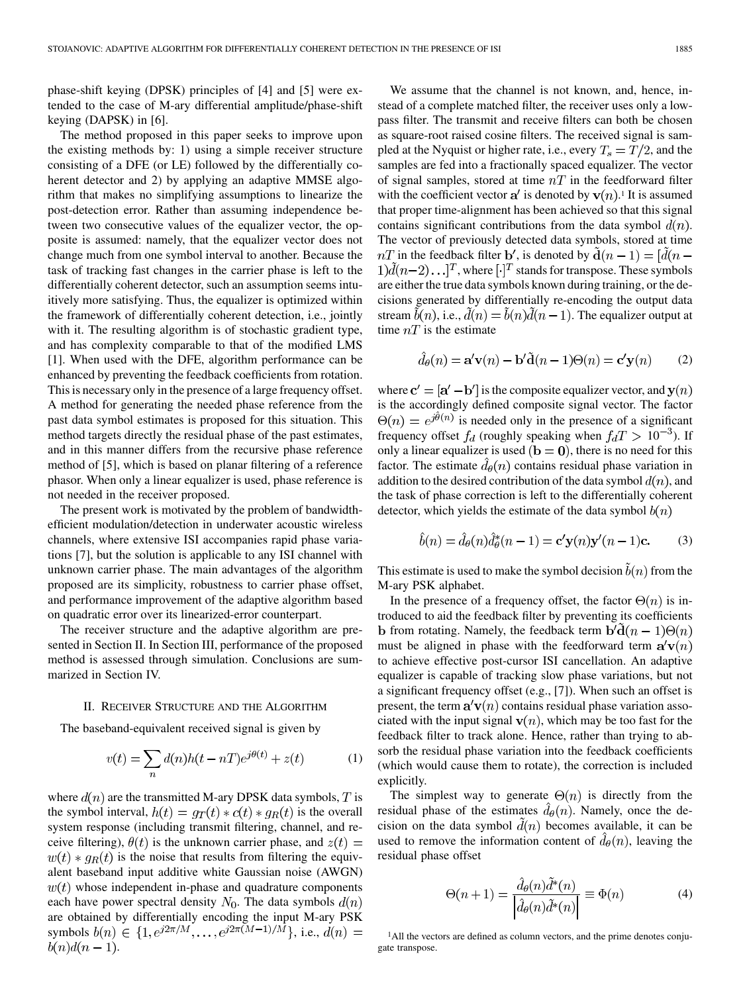phase-shift keying (DPSK) principles of [\[4](#page-6-0)] and [[5\]](#page-6-0) were extended to the case of M-ary differential amplitude/phase-shift keying (DAPSK) in [[6\]](#page-6-0).

The method proposed in this paper seeks to improve upon the existing methods by: 1) using a simple receiver structure consisting of a DFE (or LE) followed by the differentially coherent detector and 2) by applying an adaptive MMSE algorithm that makes no simplifying assumptions to linearize the post-detection error. Rather than assuming independence between two consecutive values of the equalizer vector, the opposite is assumed: namely, that the equalizer vector does not change much from one symbol interval to another. Because the task of tracking fast changes in the carrier phase is left to the differentially coherent detector, such an assumption seems intuitively more satisfying. Thus, the equalizer is optimized within the framework of differentially coherent detection, i.e., jointly with it. The resulting algorithm is of stochastic gradient type, and has complexity comparable to that of the modified LMS [\[1](#page-6-0)]. When used with the DFE, algorithm performance can be enhanced by preventing the feedback coefficients from rotation. This is necessary only in the presence of a large frequency offset. A method for generating the needed phase reference from the past data symbol estimates is proposed for this situation. This method targets directly the residual phase of the past estimates, and in this manner differs from the recursive phase reference method of [[5\]](#page-6-0), which is based on planar filtering of a reference phasor. When only a linear equalizer is used, phase reference is not needed in the receiver proposed.

The present work is motivated by the problem of bandwidthefficient modulation/detection in underwater acoustic wireless channels, where extensive ISI accompanies rapid phase variations [[7\]](#page-6-0), but the solution is applicable to any ISI channel with unknown carrier phase. The main advantages of the algorithm proposed are its simplicity, robustness to carrier phase offset, and performance improvement of the adaptive algorithm based on quadratic error over its linearized-error counterpart.

The receiver structure and the adaptive algorithm are presented in Section II. In Section III, performance of the proposed method is assessed through simulation. Conclusions are summarized in Section IV.

### II. RECEIVER STRUCTURE AND THE ALGORITHM

The baseband-equivalent received signal is given by

$$
v(t) = \sum_{n} d(n)h(t - nT)e^{j\theta(t)} + z(t)
$$
 (1)

where  $d(n)$  are the transmitted M-ary DPSK data symbols, T is the symbol interval,  $h(t) = g_T(t) * c(t) * g_R(t)$  is the overall system response (including transmit filtering, channel, and receive filtering),  $\theta(t)$  is the unknown carrier phase, and  $z(t) =$  $w(t) * g_R(t)$  is the noise that results from filtering the equivalent baseband input additive white Gaussian noise (AWGN)  $w(t)$  whose independent in-phase and quadrature components each have power spectral density  $N_0$ . The data symbols  $d(n)$ are obtained by differentially encoding the input M-ary PSK symbols  $b(n) \in \{1, e^{j2\pi/M}, \ldots, e^{j2\pi(M-1)/M}\}$ , i.e.,  $d(n)$  $b(n)d(n-1).$ 

We assume that the channel is not known, and, hence, instead of a complete matched filter, the receiver uses only a lowpass filter. The transmit and receive filters can both be chosen as square-root raised cosine filters. The received signal is sampled at the Nyquist or higher rate, i.e., every  $T_s = T/2$ , and the samples are fed into a fractionally spaced equalizer. The vector of signal samples, stored at time  $nT$  in the feedforward filter with the coefficient vector  $a'$  is denoted by  $v(n)$ .<sup>1</sup> It is assumed that proper time-alignment has been achieved so that this signal contains significant contributions from the data symbol  $d(n)$ . The vector of previously detected data symbols, stored at time  $nT$  in the feedback filter b', is denoted by  $\mathbf{d}(n-1) = [d(n 1$ ) $\tilde{d}(n-2)$ ...]<sup>T</sup>, where  $[\cdot]$ <sup>T</sup> stands for transpose. These symbols are either the true data symbols known during training, or the decisions generated by differentially re-encoding the output data stream  $\tilde{b}(n)$ , i.e.,  $\tilde{d}(n) = \tilde{b}(n)\tilde{d}(n-1)$ . The equalizer output at time  $nT$  is the estimate

$$
\hat{d}_{\theta}(n) = \mathbf{a}'\mathbf{v}(n) - \mathbf{b}'\tilde{\mathbf{d}}(n-1)\Theta(n) = \mathbf{c}'\mathbf{y}(n)
$$
 (2)

where  $\mathbf{c}' = [\mathbf{a}' - \mathbf{b}']$  is the composite equalizer vector, and  $\mathbf{y}(n)$ is the accordingly defined composite signal vector. The factor  $\Theta(n) = e^{j\theta(n)}$  is needed only in the presence of a significant frequency offset  $f_d$  (roughly speaking when  $f_dT > 10^{-3}$ ). If only a linear equalizer is used  $(b = 0)$ , there is no need for this factor. The estimate  $d_{\theta}(n)$  contains residual phase variation in addition to the desired contribution of the data symbol  $d(n)$ , and the task of phase correction is left to the differentially coherent detector, which yields the estimate of the data symbol  $b(n)$ 

$$
\hat{b}(n) = \hat{d}_{\theta}(n)\hat{d}_{\theta}^*(n-1) = \mathbf{c}'\mathbf{y}(n)\mathbf{y}'(n-1)\mathbf{c}.
$$
 (3)

This estimate is used to make the symbol decision  $\tilde{b}(n)$  from the M-ary PSK alphabet.

In the presence of a frequency offset, the factor  $\Theta(n)$  is introduced to aid the feedback filter by preventing its coefficients **b** from rotating. Namely, the feedback term  $\mathbf{b}'\mathbf{d}(n-1)\Theta(n)$ must be aligned in phase with the feedforward term  $\mathbf{a}'\mathbf{v}(n)$ to achieve effective post-cursor ISI cancellation. An adaptive equalizer is capable of tracking slow phase variations, but not a significant frequency offset (e.g., [\[7](#page-6-0)]). When such an offset is present, the term  $a'v(n)$  contains residual phase variation associated with the input signal  $\mathbf{v}(n)$ , which may be too fast for the feedback filter to track alone. Hence, rather than trying to absorb the residual phase variation into the feedback coefficients (which would cause them to rotate), the correction is included explicitly.

The simplest way to generate  $\Theta(n)$  is directly from the residual phase of the estimates  $d_{\theta}(n)$ . Namely, once the decision on the data symbol  $\tilde{d}(n)$  becomes available, it can be used to remove the information content of  $d_{\theta}(n)$ , leaving the residual phase offset

$$
\Theta(n+1) = \frac{\hat{d}_{\theta}(n)\tilde{d}^*(n)}{\left|\hat{d}_{\theta}(n)\tilde{d}^*(n)\right|} \equiv \Phi(n) \tag{4}
$$

1All the vectors are defined as column vectors, and the prime denotes conjugate transpose.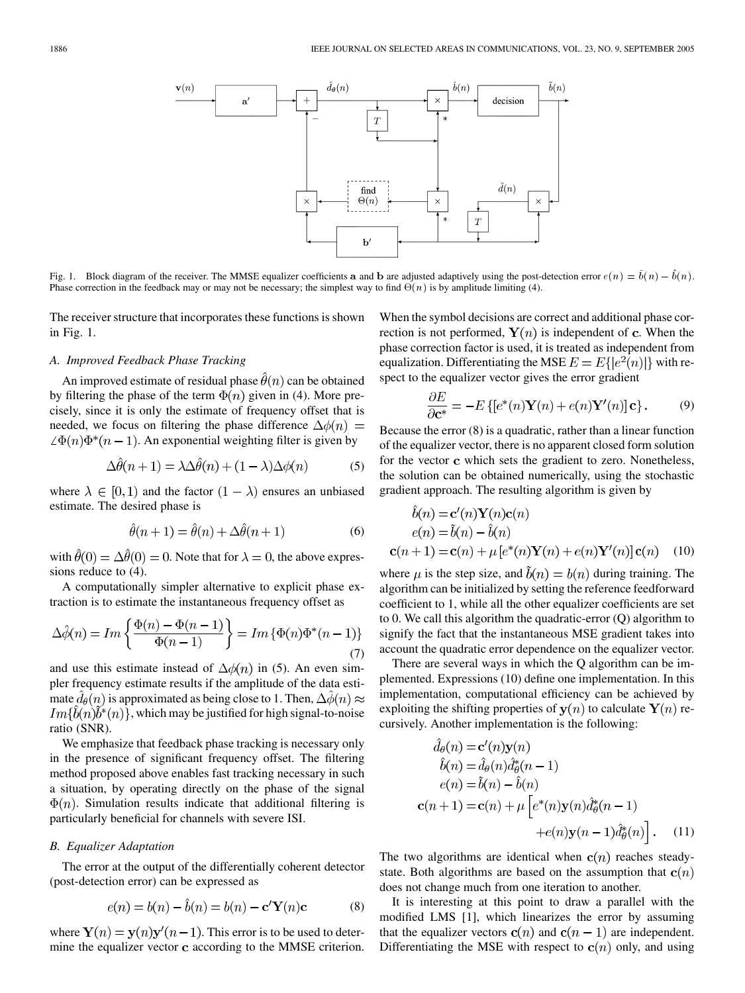

Phase correction in the feedback may or may not be necessary; the simplest way to find  $\Theta(n)$  is by amplitude limiting (4).

The receiver structure that incorporates these functions is shown in Fig. 1.

## *A. Improved Feedback Phase Tracking*

An improved estimate of residual phase  $\hat{\theta}(n)$  can be obtained by filtering the phase of the term  $\Phi(n)$  given in (4). More precisely, since it is only the estimate of frequency offset that is needed, we focus on filtering the phase difference  $\Delta\phi(n)$  =  $\angle \Phi(n)\Phi^*(n-1)$ . An exponential weighting filter is given by

$$
\Delta\hat{\theta}(n+1) = \lambda \Delta\hat{\theta}(n) + (1-\lambda)\Delta\phi(n) \tag{5}
$$

where  $\lambda \in [0,1)$  and the factor  $(1 - \lambda)$  ensures an unbiased estimate. The desired phase is

$$
\hat{\theta}(n+1) = \hat{\theta}(n) + \Delta\hat{\theta}(n+1)
$$
\n(6)

with  $\hat{\theta}(0) = \Delta \hat{\theta}(0) = 0$ . Note that for  $\lambda = 0$ , the above expressions reduce to  $(4)$ .

A computationally simpler alternative to explicit phase extraction is to estimate the instantaneous frequency offset as

$$
\Delta\hat{\phi}(n) = Im\left\{\frac{\Phi(n) - \Phi(n-1)}{\Phi(n-1)}\right\} = Im\left\{\Phi(n)\Phi^*(n-1)\right\}
$$
\n(7)

and use this estimate instead of  $\Delta\phi(n)$  in (5). An even simpler frequency estimate results if the amplitude of the data estimate  $\hat{d}_{\theta}(n)$  is approximated as being close to 1. Then,  $\Delta \hat{\phi}(n) \approx$  $Im{b(n)}b^{*}(n)$ , which may be justified for high signal-to-noise ratio (SNR).

We emphasize that feedback phase tracking is necessary only in the presence of significant frequency offset. The filtering method proposed above enables fast tracking necessary in such a situation, by operating directly on the phase of the signal  $\Phi(n)$ . Simulation results indicate that additional filtering is particularly beneficial for channels with severe ISI.

## *B. Equalizer Adaptation*

The error at the output of the differentially coherent detector (post-detection error) can be expressed as

$$
e(n) = b(n) - \hat{b}(n) = b(n) - \mathbf{c}'\mathbf{Y}(n)\mathbf{c}
$$
 (8)

where  $Y(n) = y(n)y'(n-1)$ . This error is to be used to determine the equalizer vector  $c$  according to the MMSE criterion. When the symbol decisions are correct and additional phase correction is not performed,  $Y(n)$  is independent of c. When the phase correction factor is used, it is treated as independent from equalization. Differentiating the MSE  $E = E{e^2(n)}$  with respect to the equalizer vector gives the error gradient

$$
\frac{\partial E}{\partial \mathbf{c}^*} = -E\left\{ [e^*(n)\mathbf{Y}(n) + e(n)\mathbf{Y}'(n)]\mathbf{c} \right\}.
$$
 (9)

Because the error (8) is a quadratic, rather than a linear function of the equalizer vector, there is no apparent closed form solution for the vector c which sets the gradient to zero. Nonetheless, the solution can be obtained numerically, using the stochastic gradient approach. The resulting algorithm is given by

$$
\begin{aligned}\n\dot{b}(n) &= \mathbf{c}'(n)\mathbf{Y}(n)\mathbf{c}(n) \\
e(n) &= \tilde{b}(n) - \hat{b}(n) \\
\mathbf{c}(n+1) &= \mathbf{c}(n) + \mu \left[ e^*(n)\mathbf{Y}(n) + e(n)\mathbf{Y}'(n) \right] \mathbf{c}(n) \tag{10}\n\end{aligned}
$$

where  $\mu$  is the step size, and  $\tilde{b}(n) = b(n)$  during training. The algorithm can be initialized by setting the reference feedforward coefficient to 1, while all the other equalizer coefficients are set to 0. We call this algorithm the quadratic-error (Q) algorithm to signify the fact that the instantaneous MSE gradient takes into account the quadratic error dependence on the equalizer vector.

There are several ways in which the Q algorithm can be implemented. Expressions (10) define one implementation. In this implementation, computational efficiency can be achieved by exploiting the shifting properties of  $y(n)$  to calculate  $Y(n)$  recursively. Another implementation is the following:

$$
\hat{d}_{\theta}(n) = \mathbf{c}'(n)\mathbf{y}(n)
$$
  
\n
$$
\hat{b}(n) = \hat{d}_{\theta}(n)\hat{d}_{\theta}^{*}(n-1)
$$
  
\n
$$
e(n) = \tilde{b}(n) - \hat{b}(n)
$$
  
\n
$$
\mathbf{c}(n+1) = \mathbf{c}(n) + \mu \left[e^{*}(n)\mathbf{y}(n)\hat{d}_{\theta}^{*}(n-1) + e(n)\mathbf{y}(n-1)\hat{d}_{\theta}^{*}(n)\right].
$$
 (11)

The two algorithms are identical when  $c(n)$  reaches steadystate. Both algorithms are based on the assumption that  $c(n)$ does not change much from one iteration to another.

It is interesting at this point to draw a parallel with the modified LMS [[1\]](#page-6-0), which linearizes the error by assuming that the equalizer vectors  $c(n)$  and  $c(n - 1)$  are independent. Differentiating the MSE with respect to  $c(n)$  only, and using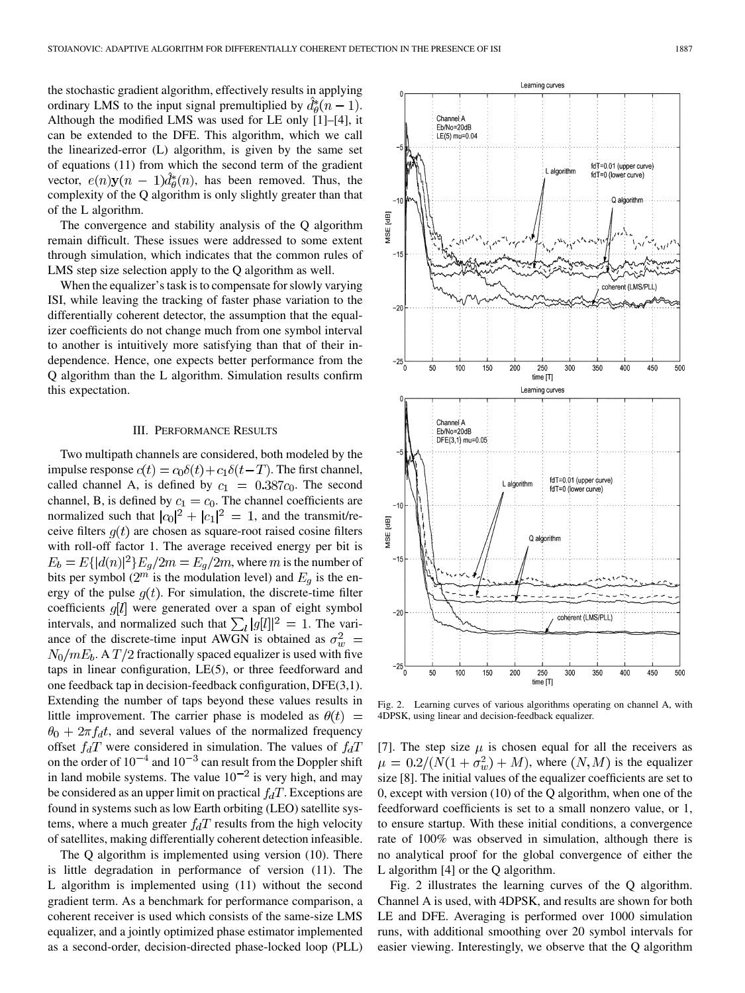the stochastic gradient algorithm, effectively results in applying ordinary LMS to the input signal premultiplied by  $d_{\theta}^{*}(n-1)$ . Although the modified LMS was used for LE only [[1\]](#page-6-0)–[\[4](#page-6-0)], it can be extended to the DFE. This algorithm, which we call the linearized-error (L) algorithm, is given by the same set of equations (11) from which the second term of the gradient vector,  $e(n)\mathbf{y}(n-1)\hat{d}_{\theta}^{*}(n)$ , has been removed. Thus, the complexity of the Q algorithm is only slightly greater than that of the L algorithm.

The convergence and stability analysis of the Q algorithm remain difficult. These issues were addressed to some extent through simulation, which indicates that the common rules of LMS step size selection apply to the Q algorithm as well.

When the equalizer's task is to compensate for slowly varying ISI, while leaving the tracking of faster phase variation to the differentially coherent detector, the assumption that the equalizer coefficients do not change much from one symbol interval to another is intuitively more satisfying than that of their independence. Hence, one expects better performance from the Q algorithm than the L algorithm. Simulation results confirm this expectation.

#### III. PERFORMANCE RESULTS

Two multipath channels are considered, both modeled by the impulse response  $c(t) = c_0 \delta(t) + c_1 \delta(t - T)$ . The first channel, called channel A, is defined by  $c_1 = 0.387c_0$ . The second channel, B, is defined by  $c_1 = c_0$ . The channel coefficients are normalized such that  $|c_0|^2 + |c_1|^2 = 1$ , and the transmit/receive filters  $g(t)$  are chosen as square-root raised cosine filters with roll-off factor 1. The average received energy per bit is  $E_b = E{ |d(n)|^2 } E_g / 2m = E_g / 2m$ , where m is the number of bits per symbol ( $2^m$  is the modulation level) and  $E_q$  is the energy of the pulse  $g(t)$ . For simulation, the discrete-time filter coefficients  $g[l]$  were generated over a span of eight symbol intervals, and normalized such that  $\sum_l |g[l]|^2 = 1$ . The variance of the discrete-time input AWGN is obtained as  $N_0/mE_b$ . A  $T/2$  fractionally spaced equalizer is used with five taps in linear configuration, LE(5), or three feedforward and one feedback tap in decision-feedback configuration, DFE(3,1). Extending the number of taps beyond these values results in little improvement. The carrier phase is modeled as  $\theta(t)$  =  $\theta_0 + 2\pi f_d t$ , and several values of the normalized frequency offset  $f_dT$  were considered in simulation. The values of on the order of  $10^{-4}$  and  $10^{-3}$  can result from the Doppler shift in land mobile systems. The value  $10^{-2}$  is very high, and may be considered as an upper limit on practical  $f_dT$ . Exceptions are found in systems such as low Earth orbiting (LEO) satellite systems, where a much greater  $f_dT$  results from the high velocity of satellites, making differentially coherent detection infeasible.

The Q algorithm is implemented using version (10). There is little degradation in performance of version (11). The L algorithm is implemented using (11) without the second gradient term. As a benchmark for performance comparison, a coherent receiver is used which consists of the same-size LMS equalizer, and a jointly optimized phase estimator implemented as a second-order, decision-directed phase-locked loop (PLL)



Fig. 2. Learning curves of various algorithms operating on channel A, with 4DPSK, using linear and decision-feedback equalizer.

[\[7](#page-6-0)]. The step size  $\mu$  is chosen equal for all the receivers as  $\mu = 0.2/(N(1 + \sigma_w^2) + M)$ , where  $(N, M)$  is the equalizer size [\[8](#page-6-0)]. The initial values of the equalizer coefficients are set to 0, except with version (10) of the Q algorithm, when one of the feedforward coefficients is set to a small nonzero value, or 1, to ensure startup. With these initial conditions, a convergence rate of 100% was observed in simulation, although there is no analytical proof for the global convergence of either the L algorithm [[4\]](#page-6-0) or the Q algorithm.

Fig. 2 illustrates the learning curves of the Q algorithm. Channel A is used, with 4DPSK, and results are shown for both LE and DFE. Averaging is performed over 1000 simulation runs, with additional smoothing over 20 symbol intervals for easier viewing. Interestingly, we observe that the Q algorithm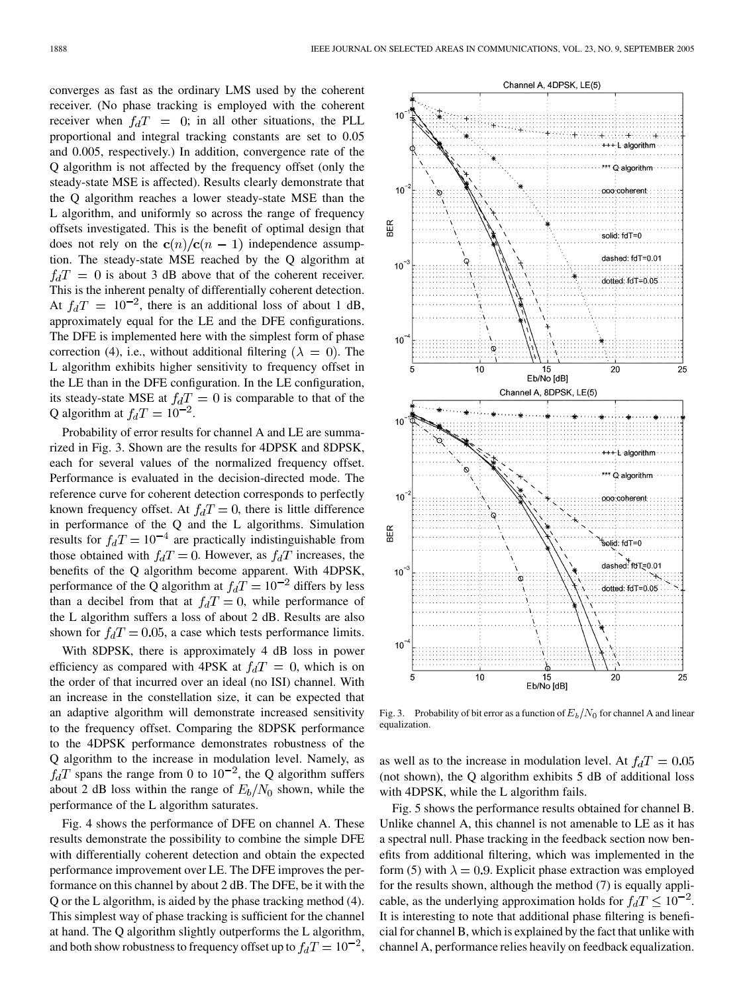converges as fast as the ordinary LMS used by the coherent receiver. (No phase tracking is employed with the coherent receiver when  $f_dT = 0$ ; in all other situations, the PLL proportional and integral tracking constants are set to 0.05 and 0.005, respectively.) In addition, convergence rate of the Q algorithm is not affected by the frequency offset (only the steady-state MSE is affected). Results clearly demonstrate that the Q algorithm reaches a lower steady-state MSE than the L algorithm, and uniformly so across the range of frequency offsets investigated. This is the benefit of optimal design that does not rely on the  $c(n)/c(n-1)$  independence assumption. The steady-state MSE reached by the Q algorithm at  $f_dT = 0$  is about 3 dB above that of the coherent receiver. This is the inherent penalty of differentially coherent detection. At  $f_dT = 10^{-2}$ , there is an additional loss of about 1 dB, approximately equal for the LE and the DFE configurations. The DFE is implemented here with the simplest form of phase correction (4), i.e., without additional filtering ( $\lambda = 0$ ). The L algorithm exhibits higher sensitivity to frequency offset in the LE than in the DFE configuration. In the LE configuration, its steady-state MSE at  $f_dT = 0$  is comparable to that of the Q algorithm at  $f_dT = 10^{-2}$ .

Probability of error results for channel A and LE are summarized in Fig. 3. Shown are the results for 4DPSK and 8DPSK, each for several values of the normalized frequency offset. Performance is evaluated in the decision-directed mode. The reference curve for coherent detection corresponds to perfectly known frequency offset. At  $f_dT = 0$ , there is little difference in performance of the Q and the L algorithms. Simulation results for  $f_dT = 10^{-4}$  are practically indistinguishable from those obtained with  $f_dT = 0$ . However, as  $f_dT$  increases, the benefits of the Q algorithm become apparent. With 4DPSK, performance of the Q algorithm at  $f_dT = 10^{-2}$  differs by less than a decibel from that at  $f_dT = 0$ , while performance of the L algorithm suffers a loss of about 2 dB. Results are also shown for  $f_dT = 0.05$ , a case which tests performance limits.

With 8DPSK, there is approximately 4 dB loss in power efficiency as compared with 4PSK at  $f_dT = 0$ , which is on the order of that incurred over an ideal (no ISI) channel. With an increase in the constellation size, it can be expected that an adaptive algorithm will demonstrate increased sensitivity to the frequency offset. Comparing the 8DPSK performance to the 4DPSK performance demonstrates robustness of the Q algorithm to the increase in modulation level. Namely, as  $f_dT$  spans the range from 0 to 10<sup>-2</sup>, the Q algorithm suffers about 2 dB loss within the range of  $E_b/N_0$  shown, while the performance of the L algorithm saturates.

Fig. 4 shows the performance of DFE on channel A. These results demonstrate the possibility to combine the simple DFE with differentially coherent detection and obtain the expected performance improvement over LE. The DFE improves the performance on this channel by about 2 dB. The DFE, be it with the Q or the L algorithm, is aided by the phase tracking method (4). This simplest way of phase tracking is sufficient for the channel at hand. The Q algorithm slightly outperforms the L algorithm, and both show robustness to frequency offset up to  $f_dT = 10^{-2}$ ,



Fig. 3. Probability of bit error as a function of  $E_b/N_0$  for channel A and linear equalization.

as well as to the increase in modulation level. At  $f_dT = 0.05$ (not shown), the Q algorithm exhibits 5 dB of additional loss with 4DPSK, while the L algorithm fails.

Fig. 5 shows the performance results obtained for channel B. Unlike channel A, this channel is not amenable to LE as it has a spectral null. Phase tracking in the feedback section now benefits from additional filtering, which was implemented in the form (5) with  $\lambda = 0.9$ . Explicit phase extraction was employed for the results shown, although the method (7) is equally applicable, as the underlying approximation holds for  $f_dT \leq 10^{-2}$ . It is interesting to note that additional phase filtering is beneficial for channel B, which is explained by the fact that unlike with channel A, performance relies heavily on feedback equalization.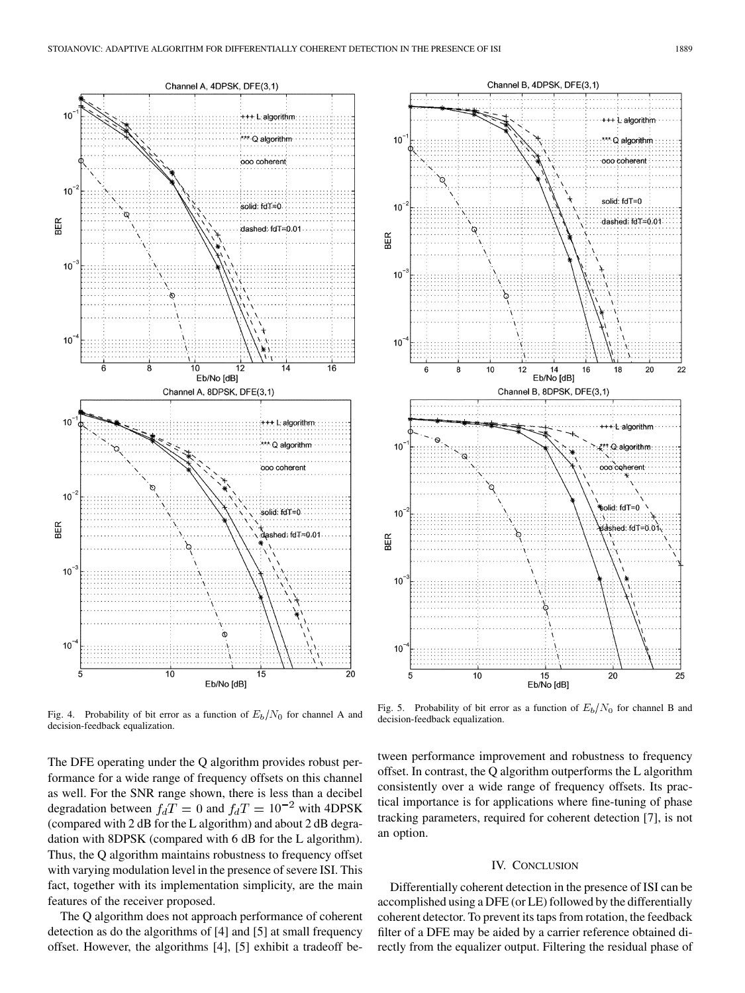

Fig. 4. Probability of bit error as a function of  $E_b/N_0$  for channel A and decision-feedback equalization.

The DFE operating under the Q algorithm provides robust performance for a wide range of frequency offsets on this channel as well. For the SNR range shown, there is less than a decibel degradation between  $f_dT = 0$  and  $f_dT = 10^{-2}$  with 4DPSK (compared with 2 dB for the L algorithm) and about 2 dB degradation with 8DPSK (compared with 6 dB for the L algorithm). Thus, the Q algorithm maintains robustness to frequency offset with varying modulation level in the presence of severe ISI. This fact, together with its implementation simplicity, are the main features of the receiver proposed.

The Q algorithm does not approach performance of coherent detection as do the algorithms of [\[4](#page-6-0)] and [\[5](#page-6-0)] at small frequency offset. However, the algorithms [\[4](#page-6-0)], [[5\]](#page-6-0) exhibit a tradeoff be-



Fig. 5. Probability of bit error as a function of  $E_b/N_0$  for channel B and decision-feedback equalization.

tween performance improvement and robustness to frequency offset. In contrast, the Q algorithm outperforms the L algorithm consistently over a wide range of frequency offsets. Its practical importance is for applications where fine-tuning of phase tracking parameters, required for coherent detection [\[7](#page-6-0)], is not an option.

## IV. CONCLUSION

Differentially coherent detection in the presence of ISI can be accomplished using a DFE (or LE) followed by the differentially coherent detector. To prevent its taps from rotation, the feedback filter of a DFE may be aided by a carrier reference obtained directly from the equalizer output. Filtering the residual phase of